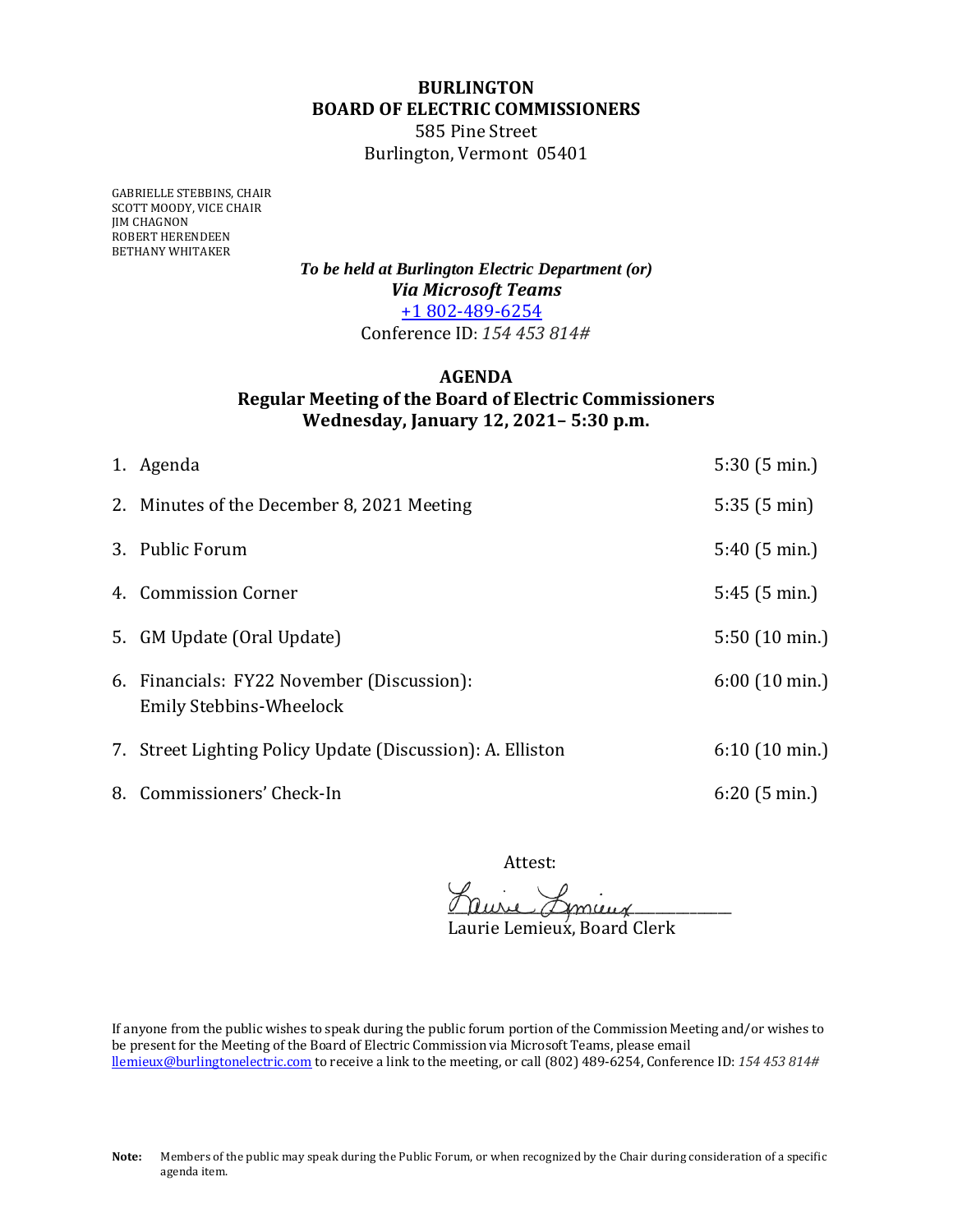## **BURLINGTON BOARD OF ELECTRIC COMMISSIONERS**

585 Pine Street Burlington, Vermont 05401

GABRIELLE STEBBINS, CHAIR SCOTT MOODY, VICE CHAIR JIM CHAGNON ROBERT HERENDEEN BETHANY WHITAKER

> *To be held at Burlington Electric Department (or) Via Microsoft Teams* +1 802-489-6254 Conference ID: *154 453 814#*

## **AGENDA Regular Meeting of the Board of Electric Commissioners Wednesday, January 12, 2021– 5:30 p.m.**

| 1. Agenda                                                             | 5:30(5 min.)            |
|-----------------------------------------------------------------------|-------------------------|
| 2. Minutes of the December 8, 2021 Meeting                            | 5:35(5 min)             |
| 3. Public Forum                                                       | 5:40(5 min.)            |
| 4. Commission Corner                                                  | 5:45(5 min.)            |
| 5. GM Update (Oral Update)                                            | 5:50 (10 min.)          |
| 6. Financials: FY22 November (Discussion):<br>Emily Stebbins-Wheelock | $6:00(10 \text{ min.})$ |
| 7. Street Lighting Policy Update (Discussion): A. Elliston            | $6:10(10 \text{ min.})$ |
| 8. Commissioners' Check-In                                            | 6:20(5 min.)            |

Attest:

aure Amey

Laurie Lemieux, Board Clerk

If anyone from the public wishes to speak during the public forum portion of the Commission Meeting and/or wishes to be present for the Meeting of the Board of Electric Commission via Microsoft Teams, please email llemieux@burlingtonelectric.com to receive a link to the meeting, or call (802) 489-6254, Conference ID: *154 453 814#*